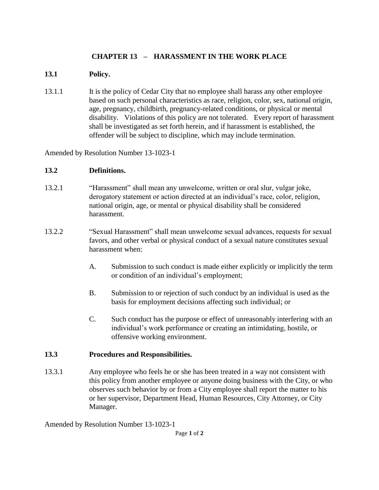## **CHAPTER 13 – HARASSMENT IN THE WORK PLACE**

## **13.1 Policy.**

13.1.1 It is the policy of Cedar City that no employee shall harass any other employee based on such personal characteristics as race, religion, color, sex, national origin, age, pregnancy, childbirth, pregnancy-related conditions, or physical or mental disability. Violations of this policy are not tolerated. Every report of harassment shall be investigated as set forth herein, and if harassment is established, the offender will be subject to discipline, which may include termination.

Amended by Resolution Number 13-1023-1

## **13.2 Definitions.**

- 13.2.1 "Harassment" shall mean any unwelcome, written or oral slur, vulgar joke, derogatory statement or action directed at an individual's race, color, religion, national origin, age, or mental or physical disability shall be considered harassment.
- 13.2.2 "Sexual Harassment" shall mean unwelcome sexual advances, requests for sexual favors, and other verbal or physical conduct of a sexual nature constitutes sexual harassment when:
	- A. Submission to such conduct is made either explicitly or implicitly the term or condition of an individual's employment;
	- B. Submission to or rejection of such conduct by an individual is used as the basis for employment decisions affecting such individual; or
	- C. Such conduct has the purpose or effect of unreasonably interfering with an individual's work performance or creating an intimidating, hostile, or offensive working environment.

## **13.3 Procedures and Responsibilities.**

13.3.1 Any employee who feels he or she has been treated in a way not consistent with this policy from another employee or anyone doing business with the City, or who observes such behavior by or from a City employee shall report the matter to his or her supervisor, Department Head, Human Resources, City Attorney, or City Manager.

Amended by Resolution Number 13-1023-1